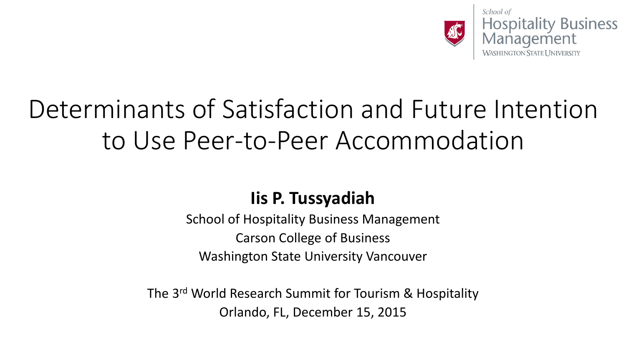

School of **Hospitality Business** Management

### Determinants of Satisfaction and Future Intention to Use Peer-to-Peer Accommodation

#### **Iis P. Tussyadiah**

School of Hospitality Business Management Carson College of Business Washington State University Vancouver

The 3<sup>rd</sup> World Research Summit for Tourism & Hospitality Orlando, FL, December 15, 2015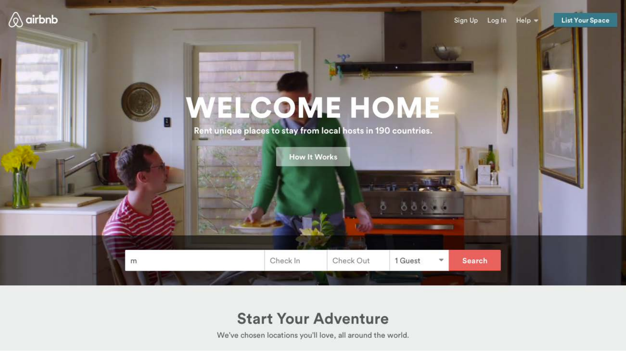

#### **Start Your Adventure**

We've chosen locations you'll love, all around the world.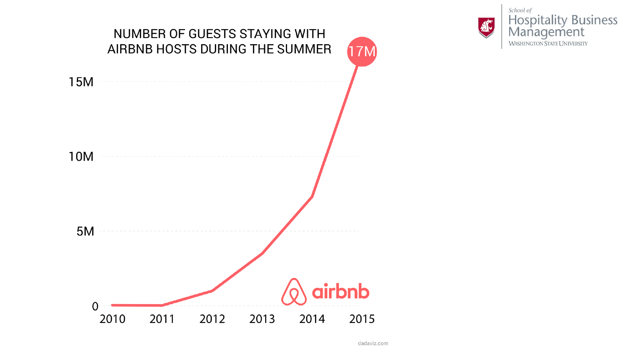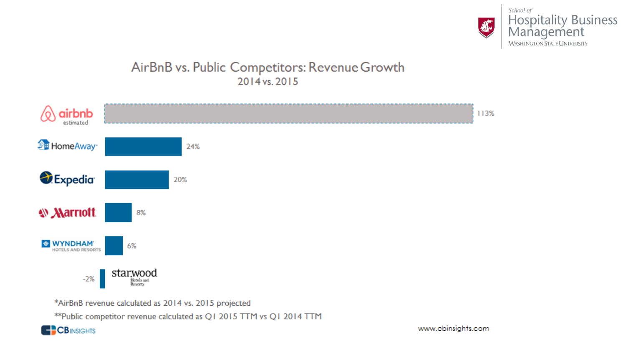

#### AirBnB vs. Public Competitors: Revenue Growth 2014 vs. 2015



\*AirBnB revenue calculated as 2014 vs. 2015 projected

\*\*Public competitor revenue calculated as Q1 2015 TTM vs Q1 2014 TTM

**C**CBINSIGHTS

www.cbinsights.com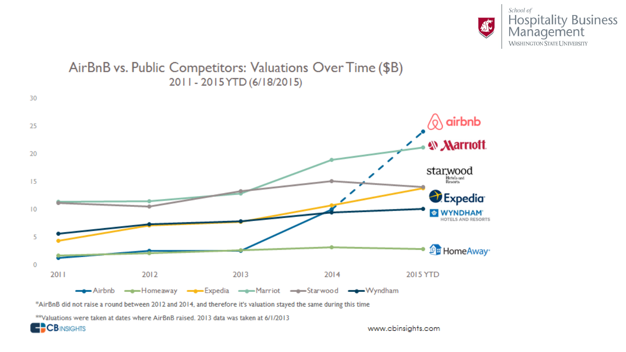



\*AirBnB did not raise a round between 2012 and 2014, and therefore it's valuation stayed the same during this time

\*\*Valuations were taken at dates where AirBnB raised. 2013 data was taken at 6/1/2013

**CB**INSIGHTS

www.cbinsights.com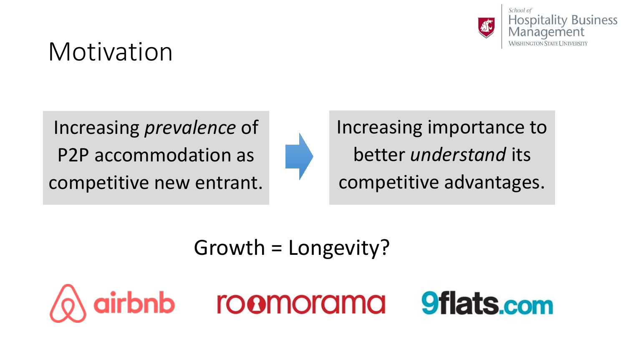![](_page_5_Picture_0.jpeg)

### Motivation

Increasing *prevalence* of P2P accommodation as competitive new entrant.

![](_page_5_Figure_3.jpeg)

Increasing importance to better *understand* its competitive advantages.

Growth = Longevity?

![](_page_5_Picture_6.jpeg)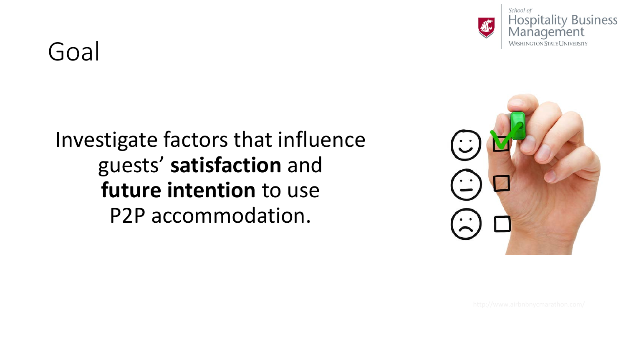![](_page_6_Picture_0.jpeg)

School of **Hospitality Business** Management **WASHINGTON STATE UNIVERSITY** 

### Goal

#### Investigate factors that influence guests' **satisfaction** and **future intention** to use P2P accommodation.

![](_page_6_Picture_4.jpeg)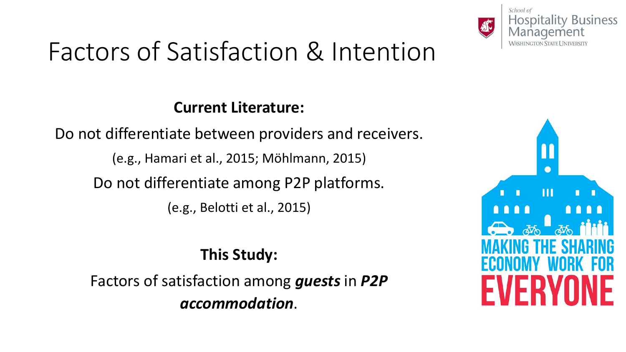![](_page_7_Picture_0.jpeg)

## Factors of Satisfaction & Intention

#### **Current Literature:**

Do not differentiate between providers and receivers. (e.g., Hamari et al., 2015; Möhlmann, 2015) Do not differentiate among P2P platforms. (e.g., Belotti et al., 2015)

#### **This Study:**

Factors of satisfaction among *guests* in *P2P accommodation*.

![](_page_7_Picture_6.jpeg)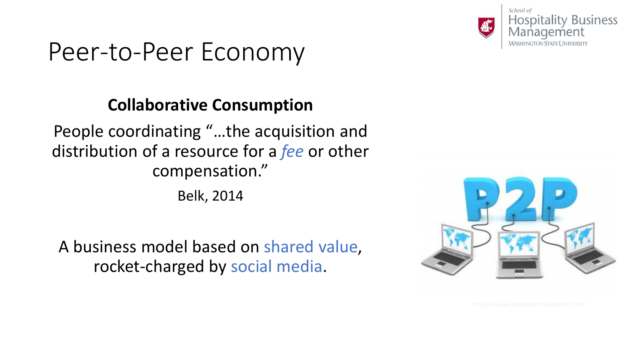![](_page_8_Picture_0.jpeg)

### Peer-to-Peer Economy

#### **Collaborative Consumption**

People coordinating "…the acquisition and distribution of a resource for a *fee* or other compensation."

Belk, 2014

A business model based on shared value, rocket-charged by social media.

![](_page_8_Picture_6.jpeg)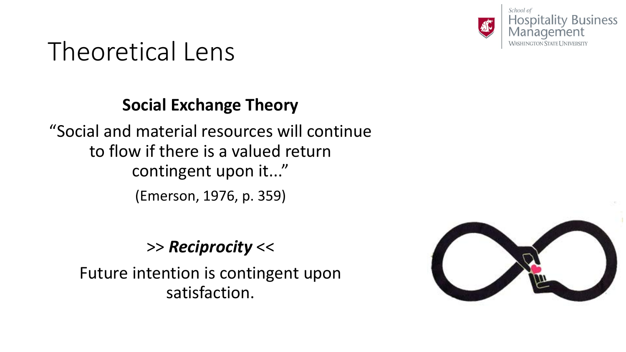![](_page_9_Picture_0.jpeg)

### Theoretical Lens

#### **Social Exchange Theory**

"Social and material resources will continue to flow if there is a valued return contingent upon it..." (Emerson, 1976, p. 359)

#### >> *Reciprocity* <<

Future intention is contingent upon satisfaction.

![](_page_9_Picture_6.jpeg)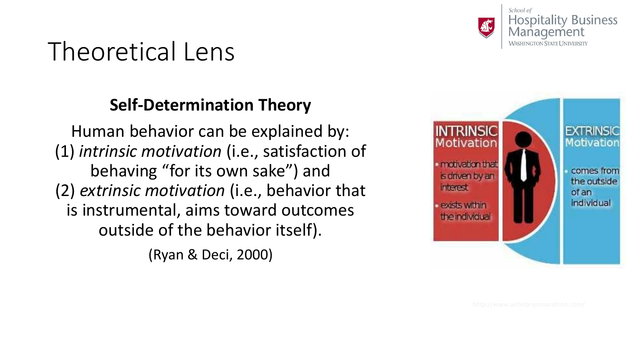![](_page_10_Picture_0.jpeg)

### Theoretical Lens

#### **Self-Determination Theory**

Human behavior can be explained by: (1) *intrinsic motivation* (i.e., satisfaction of behaving "for its own sake") and (2) *extrinsic motivation* (i.e., behavior that is instrumental, aims toward outcomes outside of the behavior itself).

(Ryan & Deci, 2000)

![](_page_10_Picture_5.jpeg)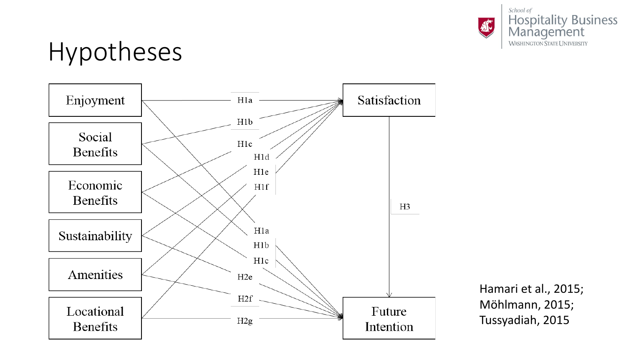![](_page_11_Picture_0.jpeg)

### Hypotheses

![](_page_11_Figure_3.jpeg)

Hamari et al., 2015; Möhlmann, 2015; Tussyadiah, 2015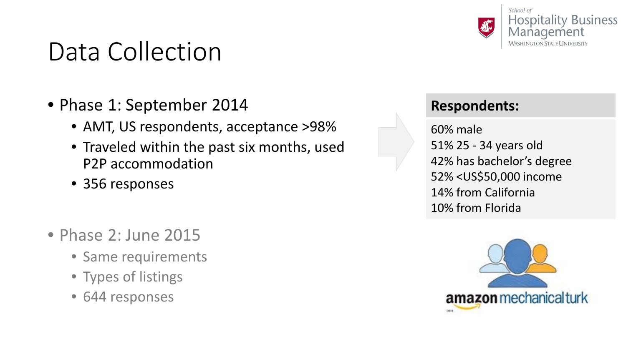### Data Collection

- Phase 1: September 2014
	- AMT, US respondents, acceptance >98%
	- Traveled within the past six months, used P2P accommodation
	- 356 responses
- Phase 2: June 2015
	- Same requirements
	- Types of listings
	- 644 responses

![](_page_12_Picture_9.jpeg)

#### **Respondents:**

60% male 51% 25 - 34 years old 42% has bachelor's degree 52% <US\$50,000 income 14% from California 10% from Florida

![](_page_12_Picture_12.jpeg)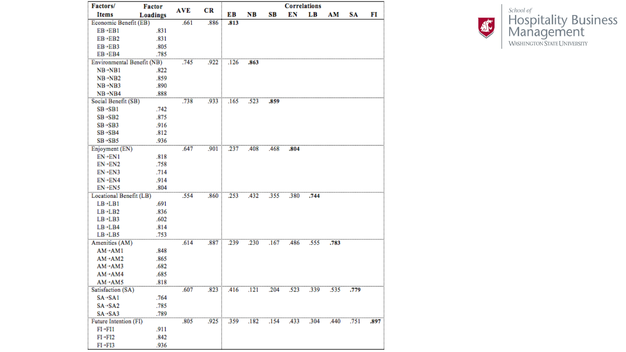| Factors/                   | <b>Factor</b> | <b>AVE</b> | CR   | <b>Correlations</b> |      |      |      |      |      |      |      |
|----------------------------|---------------|------------|------|---------------------|------|------|------|------|------|------|------|
| <b>Items</b>               | Loadings      |            |      | EВ                  | NB   | SВ   | EN   | LВ   | AM   | SA   | FI   |
| Economic Benefit (EB)      |               | .661       | .886 | .813                |      |      |      |      |      |      |      |
| $EB - EB1$                 | .831          |            |      |                     |      |      |      |      |      |      |      |
| $EB \rightarrow EB2$       | .831          |            |      |                     |      |      |      |      |      |      |      |
| $EB \rightarrow EB3$       | .805          |            |      |                     |      |      |      |      |      |      |      |
| $EB - EB4$                 | .785          |            |      |                     |      |      |      |      |      |      |      |
| Environmental Benefit (NB) |               | .745       | .922 | .126                | .863 |      |      |      |      |      |      |
| $NB \rightarrow NB1$       | .822          |            |      |                     |      |      |      |      |      |      |      |
| $NB \rightarrow NB2$       | .859          |            |      |                     |      |      |      |      |      |      |      |
| $NB \rightarrow NB3$       | .890          |            |      |                     |      |      |      |      |      |      |      |
| $NB \rightarrow NB4$       | .888          |            |      |                     |      |      |      |      |      |      |      |
| Social Benefit (SB)        |               | .738       | .933 | .165                | .523 | .859 |      |      |      |      |      |
| $SB \rightarrow SB1$       | .742          |            |      |                     |      |      |      |      |      |      |      |
| $SB \rightarrow SB2$       | .875          |            |      |                     |      |      |      |      |      |      |      |
| $SB \rightarrow SB3$       | .916          |            |      |                     |      |      |      |      |      |      |      |
| $SB \rightarrow SB4$       | .812          |            |      |                     |      |      |      |      |      |      |      |
| $SB \rightarrow SB5$       | .936          |            |      |                     |      |      |      |      |      |      |      |
| Enjoyment (EN)             |               | .647       | .901 | .237                | .408 | .468 | .804 |      |      |      |      |
| $EN-EN1$                   | .818          |            |      |                     |      |      |      |      |      |      |      |
| $EN \rightarrow EN2$       | .758          |            |      |                     |      |      |      |      |      |      |      |
| $EN \rightarrow EN3$       | .714          |            |      |                     |      |      |      |      |      |      |      |
| EN→EN4                     | .914          |            |      |                     |      |      |      |      |      |      |      |
| $EN-ENS$                   | .804          |            |      |                     |      |      |      |      |      |      |      |
| Locational Benefit (LB)    |               | .554       | .860 | .253                | .432 | .355 | .380 | .744 |      |      |      |
| $LB - LB1$                 | .691          |            |      |                     |      |      |      |      |      |      |      |
| $LB - LB2$                 | .836          |            |      |                     |      |      |      |      |      |      |      |
| $LB - LB3$                 | .602          |            |      |                     |      |      |      |      |      |      |      |
| $LB - LB4$                 | .814          |            |      |                     |      |      |      |      |      |      |      |
| $LB - LB5$                 | .753          |            |      |                     |      |      |      |      |      |      |      |
| Amenities (AM)             |               | .614       | .887 | .239                | .230 | .167 | .486 | .555 | .783 |      |      |
| $AM \rightarrow AM1$       | .848          |            |      |                     |      |      |      |      |      |      |      |
| $AM \rightarrow AM2$       | .865          |            |      |                     |      |      |      |      |      |      |      |
| $AM \rightarrow AM3$       | .682          |            |      |                     |      |      |      |      |      |      |      |
| AM→AM4                     | .685          |            |      |                     |      |      |      |      |      |      |      |
| AM→AM5                     | .818          |            |      |                     |      |      |      |      |      |      |      |
| Satisfaction (SA)          |               | .607       | .823 | .416                | .121 | .204 | .523 | .339 | .535 | .779 |      |
| $SA \rightarrow SA1$       | .764          |            |      |                     |      |      |      |      |      |      |      |
| $SA - SA2$                 | .785          |            |      |                     |      |      |      |      |      |      |      |
| $SA - SA3$                 | .789          |            |      |                     |      |      |      |      |      |      |      |
| Future Intention (FI)      |               | .805       | .925 | 359                 | .182 | .154 | .433 | .304 | .440 | .751 | .897 |
| $FI \rightarrow FI1$       | .911          |            |      |                     |      |      |      |      |      |      |      |
| $FI \rightarrow FI2$       | .842          |            |      |                     |      |      |      |      |      |      |      |
| $FI \rightarrow FI3$       | .936          |            |      |                     |      |      |      |      |      |      |      |

![](_page_13_Picture_1.jpeg)

**School of Hospitality Business**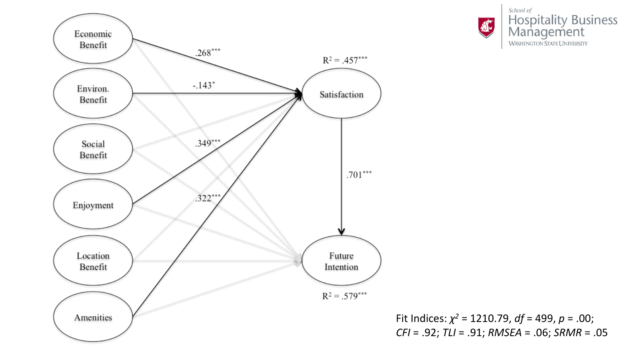![](_page_14_Figure_0.jpeg)

![](_page_14_Picture_1.jpeg)

Fit Indices:  $\chi^2$  = 1210.79, df = 499, p = .00;  $CFI = .92; TLI = .91; RMSEA = .06; SRMR = .05$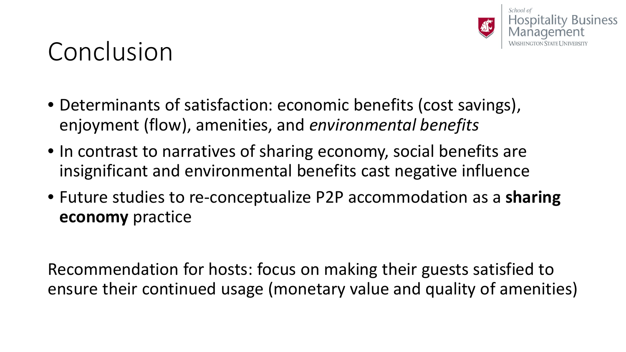![](_page_15_Picture_0.jpeg)

### Conclusion

- Determinants of satisfaction: economic benefits (cost savings), enjoyment (flow), amenities, and *environmental benefits*
- In contrast to narratives of sharing economy, social benefits are insignificant and environmental benefits cast negative influence
- Future studies to re-conceptualize P2P accommodation as a **sharing economy** practice

Recommendation for hosts: focus on making their guests satisfied to ensure their continued usage (monetary value and quality of amenities)